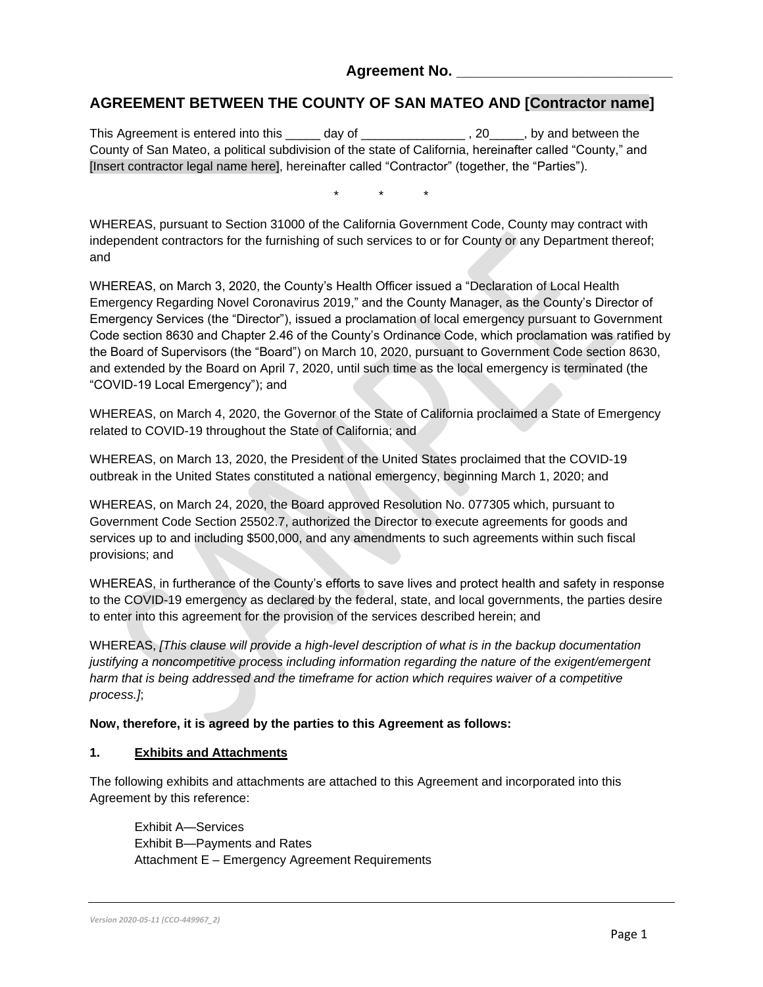# **Agreement No. \_\_\_\_\_\_\_\_\_\_\_\_\_\_\_\_\_\_\_\_\_\_\_\_\_\_**

# **AGREEMENT BETWEEN THE COUNTY OF SAN MATEO AND [Contractor name]**

This Agreement is entered into this \_\_\_\_\_ day of \_\_\_\_\_\_\_\_\_\_\_\_\_\_\_\_\_\_\_, 20\_\_\_\_\_, by and between the County of San Mateo, a political subdivision of the state of California, hereinafter called "County," and [Insert contractor legal name here], hereinafter called "Contractor" (together, the "Parties").

\* \* \*

WHEREAS, pursuant to Section 31000 of the California Government Code, County may contract with independent contractors for the furnishing of such services to or for County or any Department thereof; and

WHEREAS, on March 3, 2020, the County's Health Officer issued a "Declaration of Local Health Emergency Regarding Novel Coronavirus 2019," and the County Manager, as the County's Director of Emergency Services (the "Director"), issued a proclamation of local emergency pursuant to Government Code section 8630 and Chapter 2.46 of the County's Ordinance Code, which proclamation was ratified by the Board of Supervisors (the "Board") on March 10, 2020, pursuant to Government Code section 8630, and extended by the Board on April 7, 2020, until such time as the local emergency is terminated (the "COVID-19 Local Emergency"); and

WHEREAS, on March 4, 2020, the Governor of the State of California proclaimed a State of Emergency related to COVID-19 throughout the State of California; and

WHEREAS, on March 13, 2020, the President of the United States proclaimed that the COVID-19 outbreak in the United States constituted a national emergency, beginning March 1, 2020; and

WHEREAS, on March 24, 2020, the Board approved Resolution No. 077305 which, pursuant to Government Code Section 25502.7, authorized the Director to execute agreements for goods and services up to and including \$500,000, and any amendments to such agreements within such fiscal provisions; and

WHEREAS, in furtherance of the County's efforts to save lives and protect health and safety in response to the COVID-19 emergency as declared by the federal, state, and local governments, the parties desire to enter into this agreement for the provision of the services described herein; and

WHEREAS, *[This clause will provide a high-level description of what is in the backup documentation justifying a noncompetitive process including information regarding the nature of the exigent/emergent harm that is being addressed and the timeframe for action which requires waiver of a competitive process.]*;

### **Now, therefore, it is agreed by the parties to this Agreement as follows:**

#### **1. Exhibits and Attachments**

The following exhibits and attachments are attached to this Agreement and incorporated into this Agreement by this reference:

Exhibit A—Services Exhibit B—Payments and Rates Attachment E – Emergency Agreement Requirements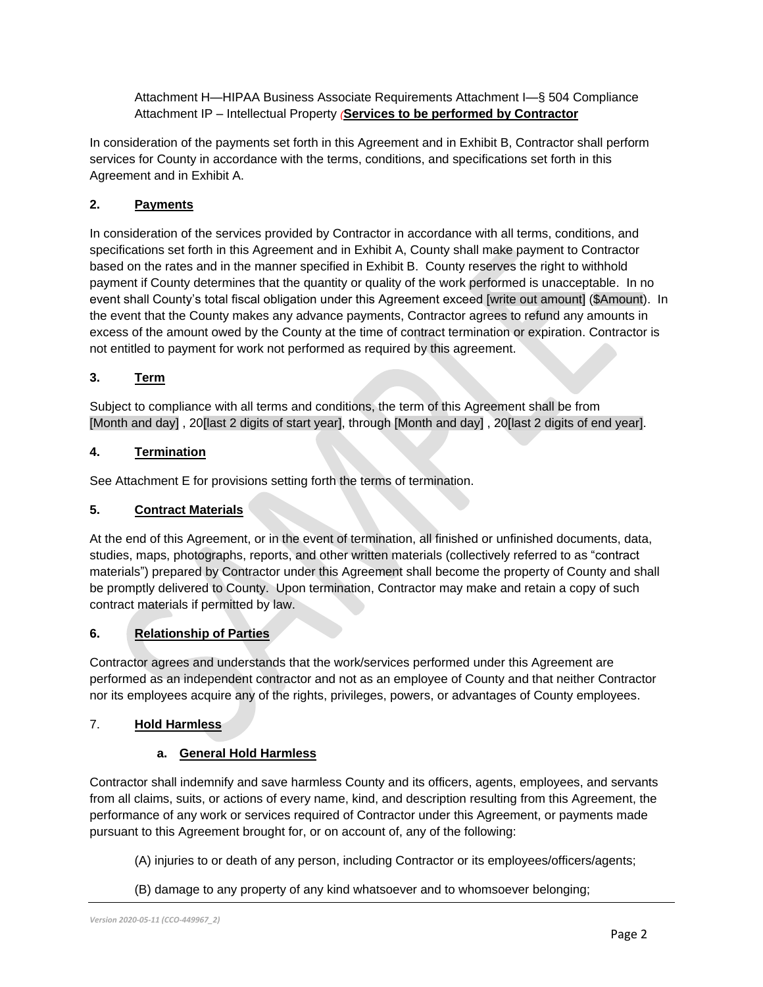Attachment H—HIPAA Business Associate Requirements Attachment I—§ 504 Compliance Attachment IP – Intellectual Property *(***Services to be performed by Contractor**

In consideration of the payments set forth in this Agreement and in Exhibit B, Contractor shall perform services for County in accordance with the terms, conditions, and specifications set forth in this Agreement and in Exhibit A.

## **2. Payments**

In consideration of the services provided by Contractor in accordance with all terms, conditions, and specifications set forth in this Agreement and in Exhibit A, County shall make payment to Contractor based on the rates and in the manner specified in Exhibit B. County reserves the right to withhold payment if County determines that the quantity or quality of the work performed is unacceptable. In no event shall County's total fiscal obligation under this Agreement exceed [write out amount] (\$Amount). In the event that the County makes any advance payments, Contractor agrees to refund any amounts in excess of the amount owed by the County at the time of contract termination or expiration. Contractor is not entitled to payment for work not performed as required by this agreement.

## **3. Term**

Subject to compliance with all terms and conditions, the term of this Agreement shall be from [Month and day] , 20[last 2 digits of start year], through [Month and day] , 20[last 2 digits of end year].

## **4. Termination**

See Attachment E for provisions setting forth the terms of termination.

## **5. Contract Materials**

At the end of this Agreement, or in the event of termination, all finished or unfinished documents, data, studies, maps, photographs, reports, and other written materials (collectively referred to as "contract materials") prepared by Contractor under this Agreement shall become the property of County and shall be promptly delivered to County. Upon termination, Contractor may make and retain a copy of such contract materials if permitted by law.

## **6. Relationship of Parties**

Contractor agrees and understands that the work/services performed under this Agreement are performed as an independent contractor and not as an employee of County and that neither Contractor nor its employees acquire any of the rights, privileges, powers, or advantages of County employees.

### 7. **Hold Harmless**

## **a. General Hold Harmless**

Contractor shall indemnify and save harmless County and its officers, agents, employees, and servants from all claims, suits, or actions of every name, kind, and description resulting from this Agreement, the performance of any work or services required of Contractor under this Agreement, or payments made pursuant to this Agreement brought for, or on account of, any of the following:

- (A) injuries to or death of any person, including Contractor or its employees/officers/agents;
- (B) damage to any property of any kind whatsoever and to whomsoever belonging;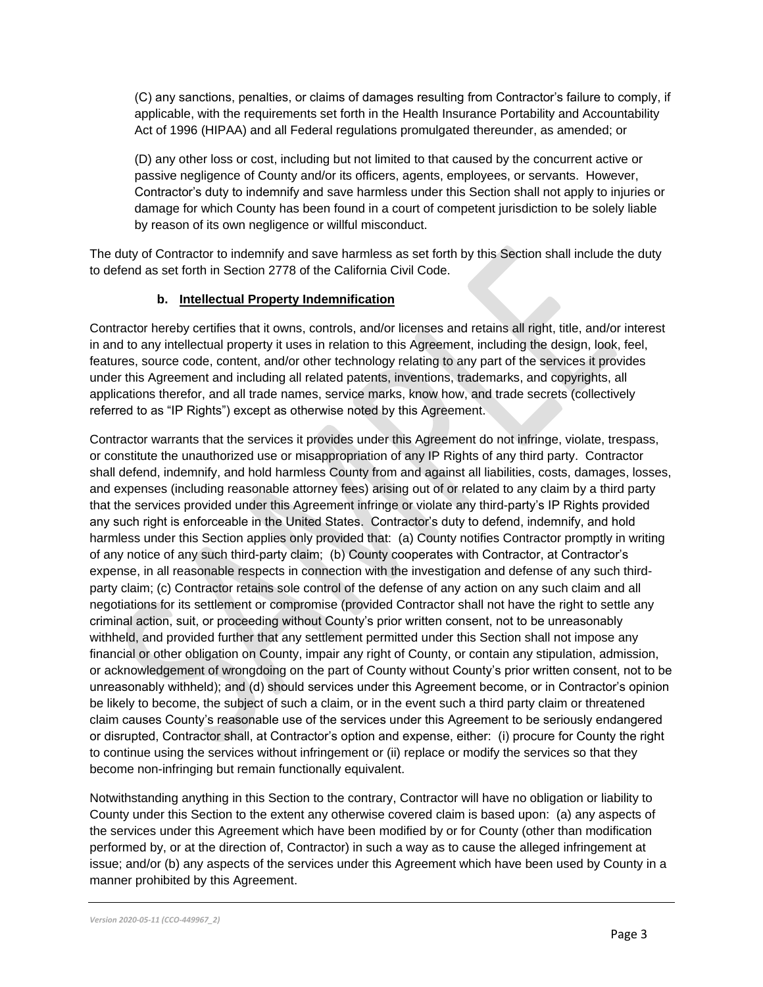(C) any sanctions, penalties, or claims of damages resulting from Contractor's failure to comply, if applicable, with the requirements set forth in the Health Insurance Portability and Accountability Act of 1996 (HIPAA) and all Federal regulations promulgated thereunder, as amended; or

(D) any other loss or cost, including but not limited to that caused by the concurrent active or passive negligence of County and/or its officers, agents, employees, or servants. However, Contractor's duty to indemnify and save harmless under this Section shall not apply to injuries or damage for which County has been found in a court of competent jurisdiction to be solely liable by reason of its own negligence or willful misconduct.

The duty of Contractor to indemnify and save harmless as set forth by this Section shall include the duty to defend as set forth in Section 2778 of the California Civil Code.

### **b. Intellectual Property Indemnification**

Contractor hereby certifies that it owns, controls, and/or licenses and retains all right, title, and/or interest in and to any intellectual property it uses in relation to this Agreement, including the design, look, feel, features, source code, content, and/or other technology relating to any part of the services it provides under this Agreement and including all related patents, inventions, trademarks, and copyrights, all applications therefor, and all trade names, service marks, know how, and trade secrets (collectively referred to as "IP Rights") except as otherwise noted by this Agreement.

Contractor warrants that the services it provides under this Agreement do not infringe, violate, trespass, or constitute the unauthorized use or misappropriation of any IP Rights of any third party. Contractor shall defend, indemnify, and hold harmless County from and against all liabilities, costs, damages, losses, and expenses (including reasonable attorney fees) arising out of or related to any claim by a third party that the services provided under this Agreement infringe or violate any third-party's IP Rights provided any such right is enforceable in the United States. Contractor's duty to defend, indemnify, and hold harmless under this Section applies only provided that: (a) County notifies Contractor promptly in writing of any notice of any such third-party claim; (b) County cooperates with Contractor, at Contractor's expense, in all reasonable respects in connection with the investigation and defense of any such thirdparty claim; (c) Contractor retains sole control of the defense of any action on any such claim and all negotiations for its settlement or compromise (provided Contractor shall not have the right to settle any criminal action, suit, or proceeding without County's prior written consent, not to be unreasonably withheld, and provided further that any settlement permitted under this Section shall not impose any financial or other obligation on County, impair any right of County, or contain any stipulation, admission, or acknowledgement of wrongdoing on the part of County without County's prior written consent, not to be unreasonably withheld); and (d) should services under this Agreement become, or in Contractor's opinion be likely to become, the subject of such a claim, or in the event such a third party claim or threatened claim causes County's reasonable use of the services under this Agreement to be seriously endangered or disrupted, Contractor shall, at Contractor's option and expense, either: (i) procure for County the right to continue using the services without infringement or (ii) replace or modify the services so that they become non-infringing but remain functionally equivalent.

Notwithstanding anything in this Section to the contrary, Contractor will have no obligation or liability to County under this Section to the extent any otherwise covered claim is based upon: (a) any aspects of the services under this Agreement which have been modified by or for County (other than modification performed by, or at the direction of, Contractor) in such a way as to cause the alleged infringement at issue; and/or (b) any aspects of the services under this Agreement which have been used by County in a manner prohibited by this Agreement.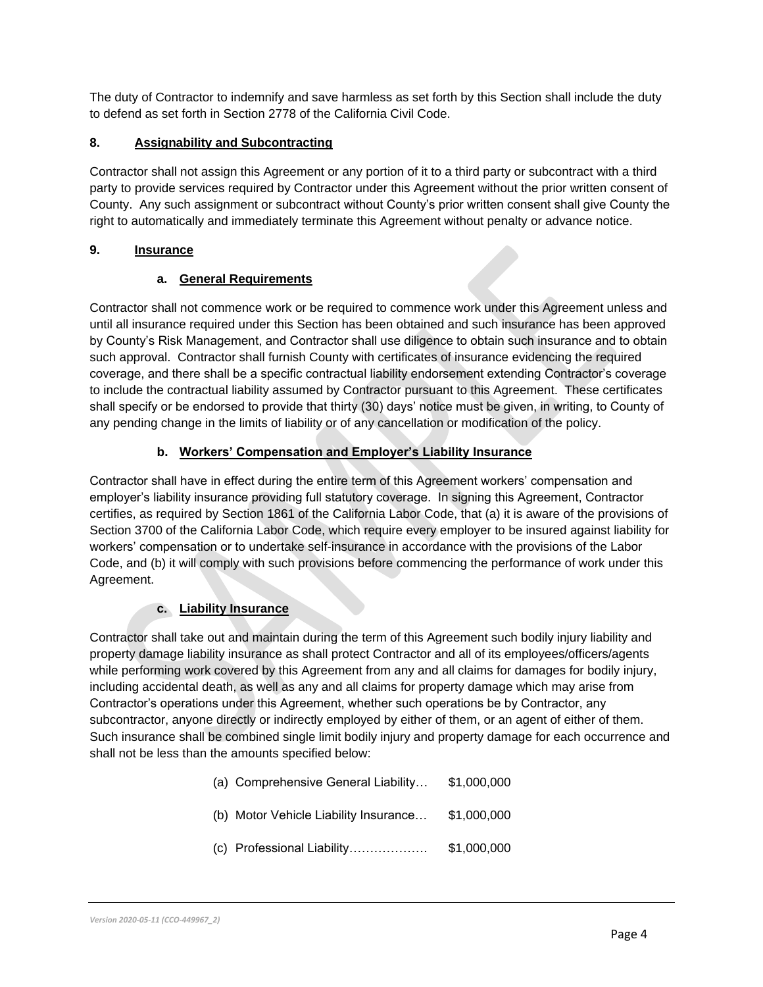The duty of Contractor to indemnify and save harmless as set forth by this Section shall include the duty to defend as set forth in Section 2778 of the California Civil Code.

## **8. Assignability and Subcontracting**

Contractor shall not assign this Agreement or any portion of it to a third party or subcontract with a third party to provide services required by Contractor under this Agreement without the prior written consent of County. Any such assignment or subcontract without County's prior written consent shall give County the right to automatically and immediately terminate this Agreement without penalty or advance notice.

## **9. Insurance**

# **a. General Requirements**

Contractor shall not commence work or be required to commence work under this Agreement unless and until all insurance required under this Section has been obtained and such insurance has been approved by County's Risk Management, and Contractor shall use diligence to obtain such insurance and to obtain such approval. Contractor shall furnish County with certificates of insurance evidencing the required coverage, and there shall be a specific contractual liability endorsement extending Contractor's coverage to include the contractual liability assumed by Contractor pursuant to this Agreement. These certificates shall specify or be endorsed to provide that thirty (30) days' notice must be given, in writing, to County of any pending change in the limits of liability or of any cancellation or modification of the policy.

# **b. Workers' Compensation and Employer's Liability Insurance**

Contractor shall have in effect during the entire term of this Agreement workers' compensation and employer's liability insurance providing full statutory coverage. In signing this Agreement, Contractor certifies, as required by Section 1861 of the California Labor Code, that (a) it is aware of the provisions of Section 3700 of the California Labor Code, which require every employer to be insured against liability for workers' compensation or to undertake self-insurance in accordance with the provisions of the Labor Code, and (b) it will comply with such provisions before commencing the performance of work under this Agreement.

# **c. Liability Insurance**

Contractor shall take out and maintain during the term of this Agreement such bodily injury liability and property damage liability insurance as shall protect Contractor and all of its employees/officers/agents while performing work covered by this Agreement from any and all claims for damages for bodily injury, including accidental death, as well as any and all claims for property damage which may arise from Contractor's operations under this Agreement, whether such operations be by Contractor, any subcontractor, anyone directly or indirectly employed by either of them, or an agent of either of them. Such insurance shall be combined single limit bodily injury and property damage for each occurrence and shall not be less than the amounts specified below:

- (a) Comprehensive General Liability… \$1,000,000
- (b) Motor Vehicle Liability Insurance… \$1,000,000
- (c) Professional Liability………………. \$1,000,000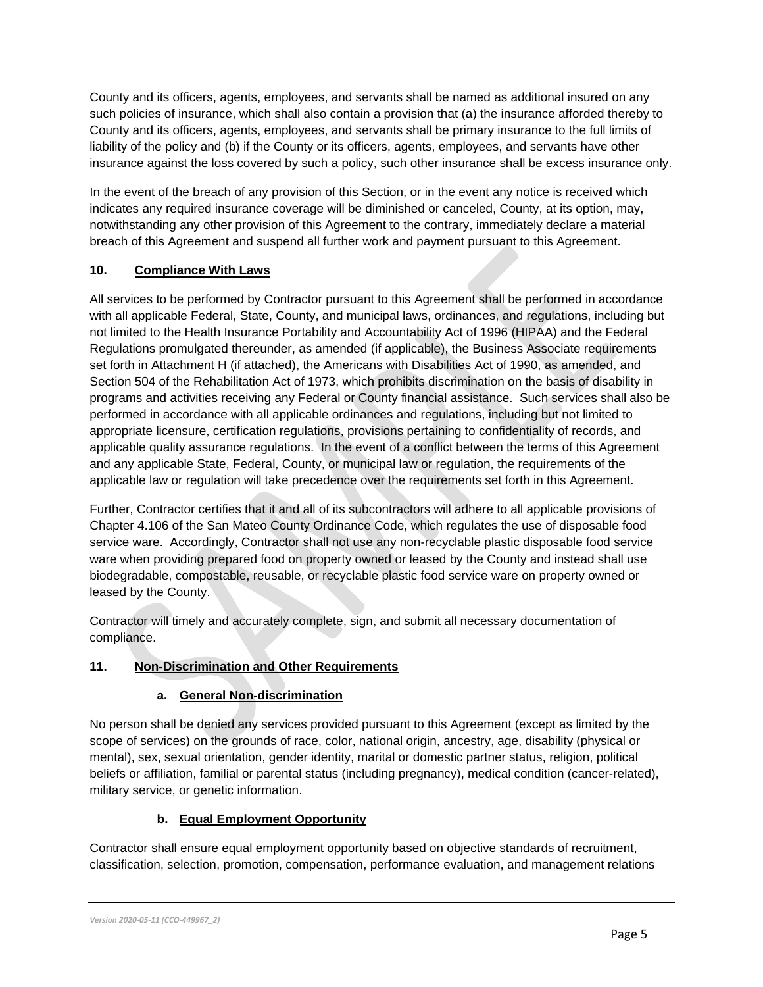County and its officers, agents, employees, and servants shall be named as additional insured on any such policies of insurance, which shall also contain a provision that (a) the insurance afforded thereby to County and its officers, agents, employees, and servants shall be primary insurance to the full limits of liability of the policy and (b) if the County or its officers, agents, employees, and servants have other insurance against the loss covered by such a policy, such other insurance shall be excess insurance only.

In the event of the breach of any provision of this Section, or in the event any notice is received which indicates any required insurance coverage will be diminished or canceled, County, at its option, may, notwithstanding any other provision of this Agreement to the contrary, immediately declare a material breach of this Agreement and suspend all further work and payment pursuant to this Agreement.

# **10. Compliance With Laws**

All services to be performed by Contractor pursuant to this Agreement shall be performed in accordance with all applicable Federal, State, County, and municipal laws, ordinances, and regulations, including but not limited to the Health Insurance Portability and Accountability Act of 1996 (HIPAA) and the Federal Regulations promulgated thereunder, as amended (if applicable), the Business Associate requirements set forth in Attachment H (if attached), the Americans with Disabilities Act of 1990, as amended, and Section 504 of the Rehabilitation Act of 1973, which prohibits discrimination on the basis of disability in programs and activities receiving any Federal or County financial assistance. Such services shall also be performed in accordance with all applicable ordinances and regulations, including but not limited to appropriate licensure, certification regulations, provisions pertaining to confidentiality of records, and applicable quality assurance regulations. In the event of a conflict between the terms of this Agreement and any applicable State, Federal, County, or municipal law or regulation, the requirements of the applicable law or regulation will take precedence over the requirements set forth in this Agreement.

Further, Contractor certifies that it and all of its subcontractors will adhere to all applicable provisions of Chapter 4.106 of the San Mateo County Ordinance Code, which regulates the use of disposable food service ware. Accordingly, Contractor shall not use any non-recyclable plastic disposable food service ware when providing prepared food on property owned or leased by the County and instead shall use biodegradable, compostable, reusable, or recyclable plastic food service ware on property owned or leased by the County.

Contractor will timely and accurately complete, sign, and submit all necessary documentation of compliance.

## **11. Non-Discrimination and Other Requirements**

## **a. General Non-discrimination**

No person shall be denied any services provided pursuant to this Agreement (except as limited by the scope of services) on the grounds of race, color, national origin, ancestry, age, disability (physical or mental), sex, sexual orientation, gender identity, marital or domestic partner status, religion, political beliefs or affiliation, familial or parental status (including pregnancy), medical condition (cancer-related), military service, or genetic information.

# **b. Equal Employment Opportunity**

Contractor shall ensure equal employment opportunity based on objective standards of recruitment, classification, selection, promotion, compensation, performance evaluation, and management relations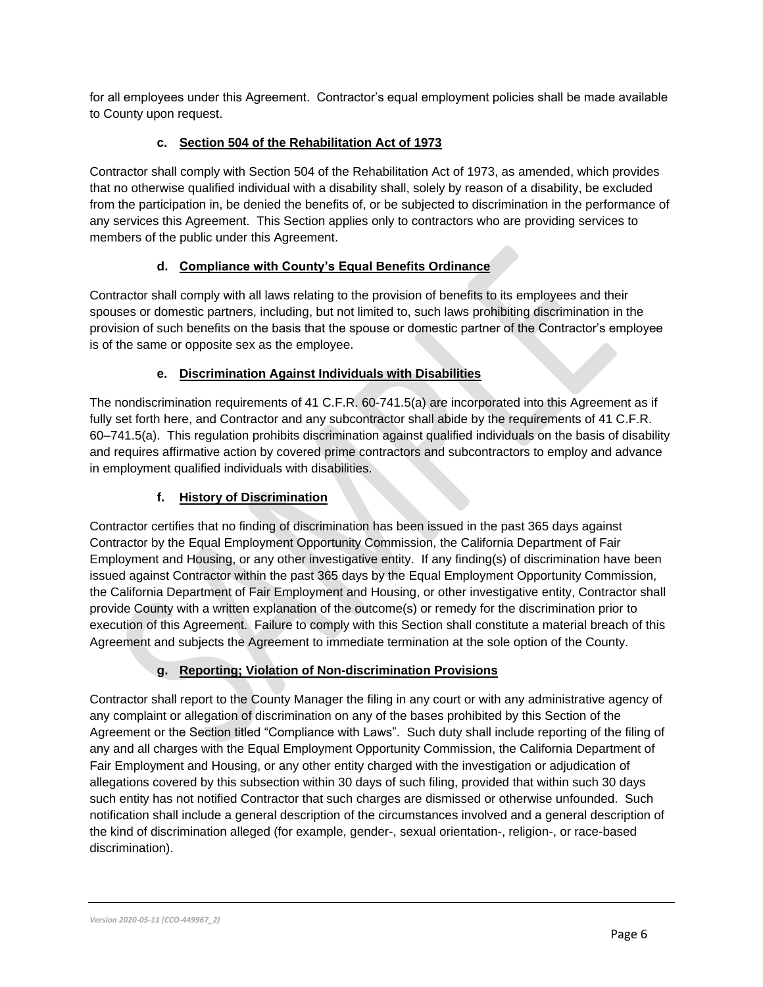for all employees under this Agreement. Contractor's equal employment policies shall be made available to County upon request.

# **c. Section 504 of the Rehabilitation Act of 1973**

Contractor shall comply with Section 504 of the Rehabilitation Act of 1973, as amended, which provides that no otherwise qualified individual with a disability shall, solely by reason of a disability, be excluded from the participation in, be denied the benefits of, or be subjected to discrimination in the performance of any services this Agreement. This Section applies only to contractors who are providing services to members of the public under this Agreement.

# **d. Compliance with County's Equal Benefits Ordinance**

Contractor shall comply with all laws relating to the provision of benefits to its employees and their spouses or domestic partners, including, but not limited to, such laws prohibiting discrimination in the provision of such benefits on the basis that the spouse or domestic partner of the Contractor's employee is of the same or opposite sex as the employee.

# **e. Discrimination Against Individuals with Disabilities**

The nondiscrimination requirements of 41 C.F.R. 60-741.5(a) are incorporated into this Agreement as if fully set forth here, and Contractor and any subcontractor shall abide by the requirements of 41 C.F.R. 60–741.5(a). This regulation prohibits discrimination against qualified individuals on the basis of disability and requires affirmative action by covered prime contractors and subcontractors to employ and advance in employment qualified individuals with disabilities.

# **f. History of Discrimination**

Contractor certifies that no finding of discrimination has been issued in the past 365 days against Contractor by the Equal Employment Opportunity Commission, the California Department of Fair Employment and Housing, or any other investigative entity. If any finding(s) of discrimination have been issued against Contractor within the past 365 days by the Equal Employment Opportunity Commission, the California Department of Fair Employment and Housing, or other investigative entity, Contractor shall provide County with a written explanation of the outcome(s) or remedy for the discrimination prior to execution of this Agreement. Failure to comply with this Section shall constitute a material breach of this Agreement and subjects the Agreement to immediate termination at the sole option of the County.

## **g. Reporting; Violation of Non-discrimination Provisions**

Contractor shall report to the County Manager the filing in any court or with any administrative agency of any complaint or allegation of discrimination on any of the bases prohibited by this Section of the Agreement or the Section titled "Compliance with Laws". Such duty shall include reporting of the filing of any and all charges with the Equal Employment Opportunity Commission, the California Department of Fair Employment and Housing, or any other entity charged with the investigation or adjudication of allegations covered by this subsection within 30 days of such filing, provided that within such 30 days such entity has not notified Contractor that such charges are dismissed or otherwise unfounded. Such notification shall include a general description of the circumstances involved and a general description of the kind of discrimination alleged (for example, gender-, sexual orientation-, religion-, or race-based discrimination).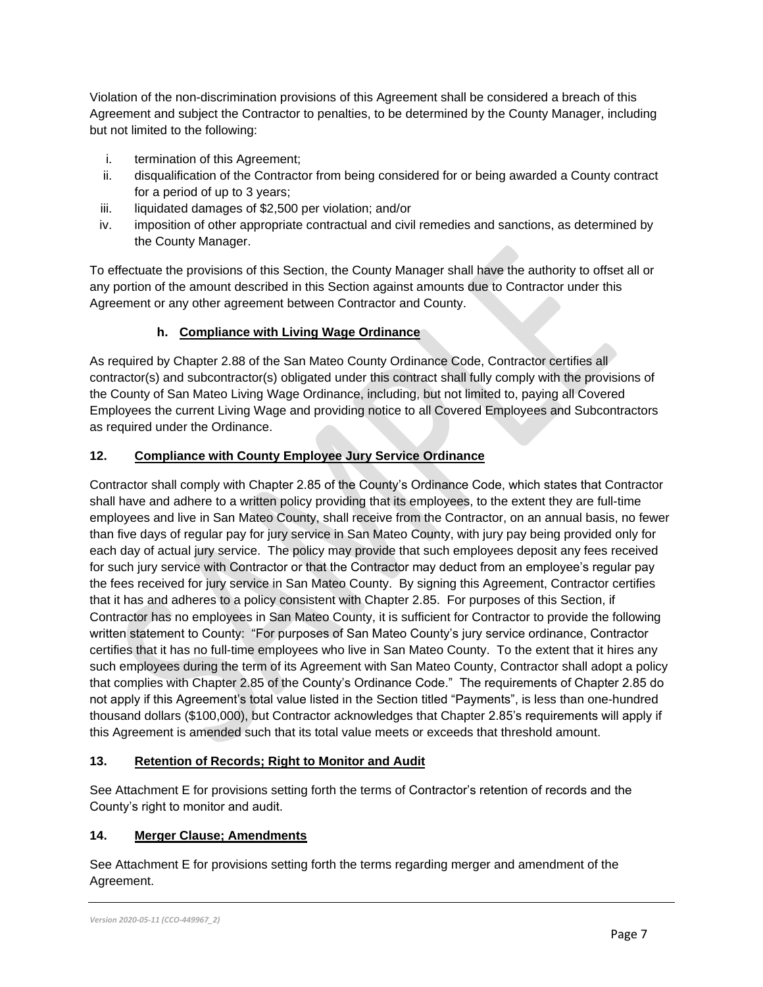Violation of the non-discrimination provisions of this Agreement shall be considered a breach of this Agreement and subject the Contractor to penalties, to be determined by the County Manager, including but not limited to the following:

- i. termination of this Agreement;
- ii. disqualification of the Contractor from being considered for or being awarded a County contract for a period of up to 3 years;
- iii. liquidated damages of \$2,500 per violation; and/or
- iv. imposition of other appropriate contractual and civil remedies and sanctions, as determined by the County Manager.

To effectuate the provisions of this Section, the County Manager shall have the authority to offset all or any portion of the amount described in this Section against amounts due to Contractor under this Agreement or any other agreement between Contractor and County.

# **h. Compliance with Living Wage Ordinance**

As required by Chapter 2.88 of the San Mateo County Ordinance Code, Contractor certifies all contractor(s) and subcontractor(s) obligated under this contract shall fully comply with the provisions of the County of San Mateo Living Wage Ordinance, including, but not limited to, paying all Covered Employees the current Living Wage and providing notice to all Covered Employees and Subcontractors as required under the Ordinance.

# **12. Compliance with County Employee Jury Service Ordinance**

Contractor shall comply with Chapter 2.85 of the County's Ordinance Code, which states that Contractor shall have and adhere to a written policy providing that its employees, to the extent they are full-time employees and live in San Mateo County, shall receive from the Contractor, on an annual basis, no fewer than five days of regular pay for jury service in San Mateo County, with jury pay being provided only for each day of actual jury service. The policy may provide that such employees deposit any fees received for such jury service with Contractor or that the Contractor may deduct from an employee's regular pay the fees received for jury service in San Mateo County. By signing this Agreement, Contractor certifies that it has and adheres to a policy consistent with Chapter 2.85. For purposes of this Section, if Contractor has no employees in San Mateo County, it is sufficient for Contractor to provide the following written statement to County: "For purposes of San Mateo County's jury service ordinance, Contractor certifies that it has no full-time employees who live in San Mateo County. To the extent that it hires any such employees during the term of its Agreement with San Mateo County, Contractor shall adopt a policy that complies with Chapter 2.85 of the County's Ordinance Code." The requirements of Chapter 2.85 do not apply if this Agreement's total value listed in the Section titled "Payments", is less than one-hundred thousand dollars (\$100,000), but Contractor acknowledges that Chapter 2.85's requirements will apply if this Agreement is amended such that its total value meets or exceeds that threshold amount.

## **13. Retention of Records; Right to Monitor and Audit**

See Attachment E for provisions setting forth the terms of Contractor's retention of records and the County's right to monitor and audit.

## **14. Merger Clause; Amendments**

See Attachment E for provisions setting forth the terms regarding merger and amendment of the Agreement.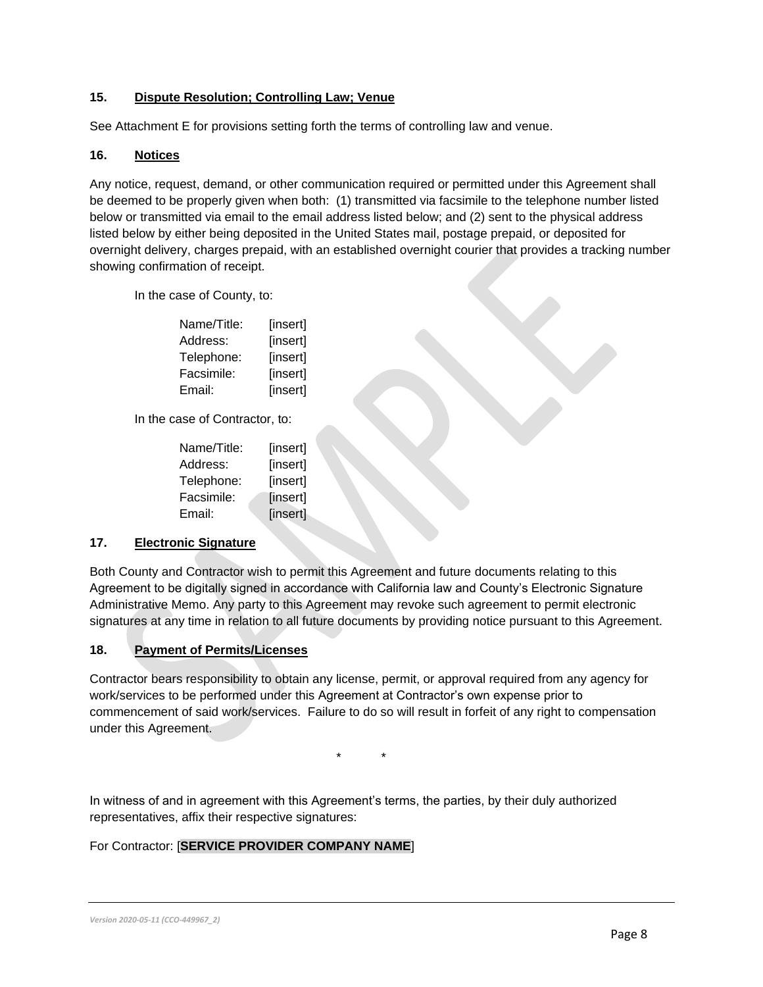### **15. Dispute Resolution; Controlling Law; Venue**

See Attachment E for provisions setting forth the terms of controlling law and venue.

### **16. Notices**

Any notice, request, demand, or other communication required or permitted under this Agreement shall be deemed to be properly given when both: (1) transmitted via facsimile to the telephone number listed below or transmitted via email to the email address listed below; and (2) sent to the physical address listed below by either being deposited in the United States mail, postage prepaid, or deposited for overnight delivery, charges prepaid, with an established overnight courier that provides a tracking number showing confirmation of receipt.

In the case of County, to:

| Name/Title: | [insert] |
|-------------|----------|
| Address:    | [insert] |
| Telephone:  | [insert] |
| Facsimile:  | [insert] |
| Email:      | [insert] |

In the case of Contractor, to:

| Name/Title: | [insert] |
|-------------|----------|
| Address:    | [insert] |
| Telephone:  | [insert] |
| Facsimile:  | [insert] |
| Email:      | [insert] |

### **17. Electronic Signature**

Both County and Contractor wish to permit this Agreement and future documents relating to this Agreement to be digitally signed in accordance with California law and County's Electronic Signature Administrative Memo. Any party to this Agreement may revoke such agreement to permit electronic signatures at any time in relation to all future documents by providing notice pursuant to this Agreement.

### **18. Payment of Permits/Licenses**

Contractor bears responsibility to obtain any license, permit, or approval required from any agency for work/services to be performed under this Agreement at Contractor's own expense prior to commencement of said work/services. Failure to do so will result in forfeit of any right to compensation under this Agreement.

\* \*

In witness of and in agreement with this Agreement's terms, the parties, by their duly authorized representatives, affix their respective signatures:

## For Contractor: [**SERVICE PROVIDER COMPANY NAME**]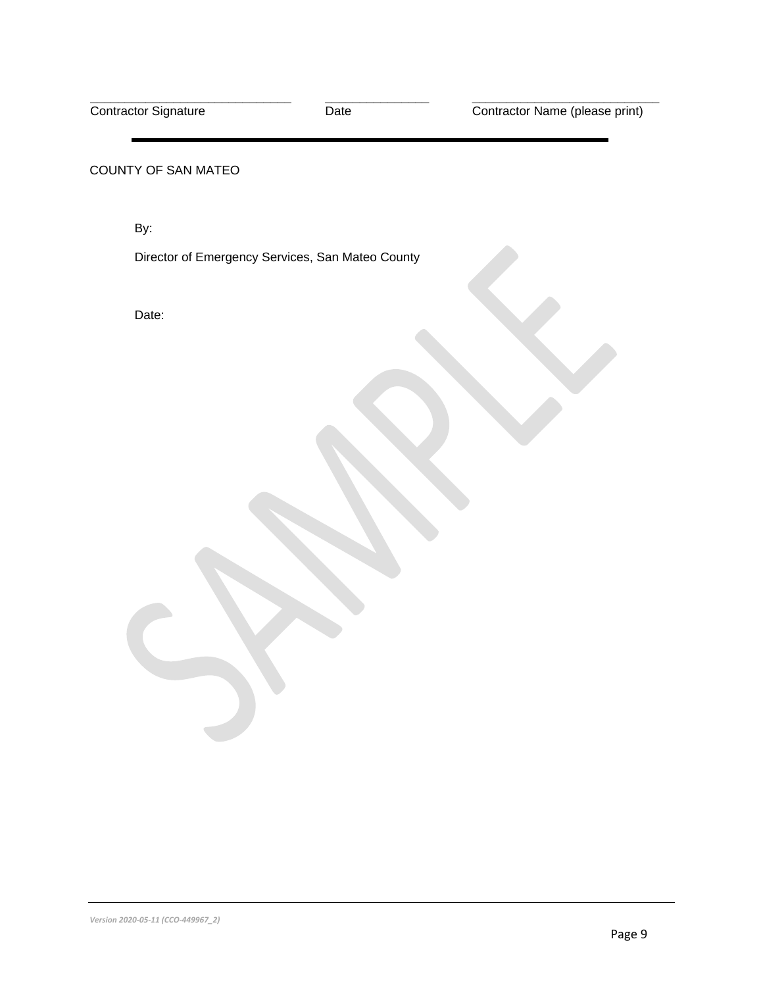Contractor Signature

Date

**\_\_\_\_\_\_\_\_\_\_\_\_\_\_\_**

#### COUNTY OF SAN MATEO

**\_\_\_\_\_\_\_\_\_\_\_\_\_\_\_\_\_\_\_\_\_\_\_\_\_\_\_\_\_**

By:

Director of Emergency Services, San Mateo County

Date: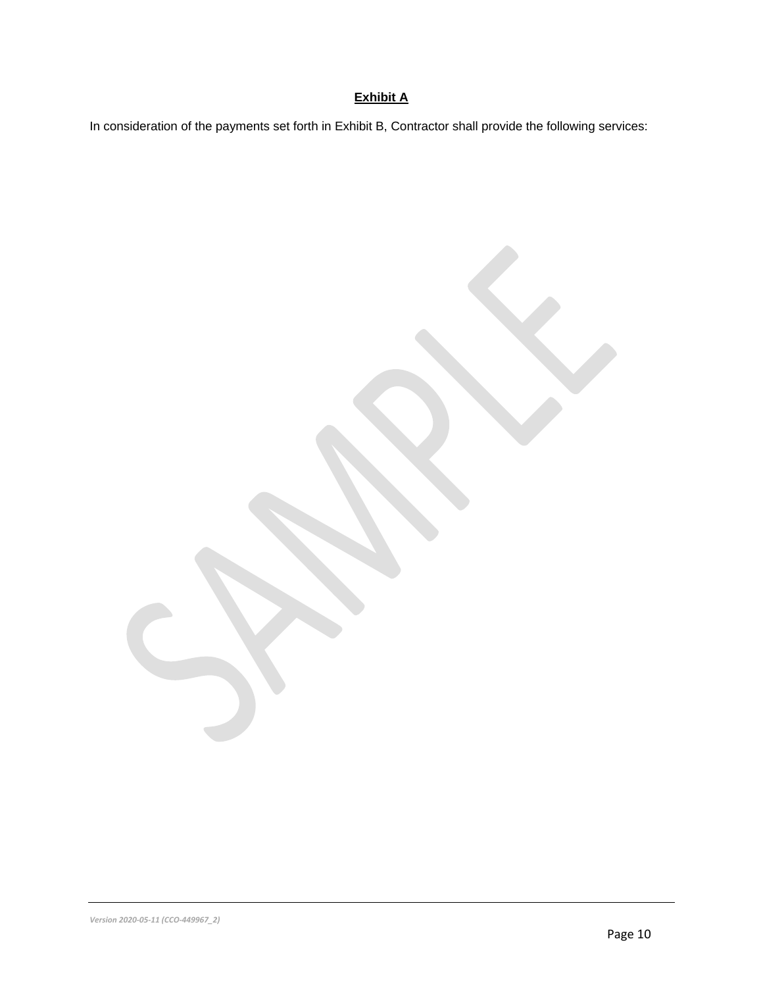# **Exhibit A**

In consideration of the payments set forth in Exhibit B, Contractor shall provide the following services: